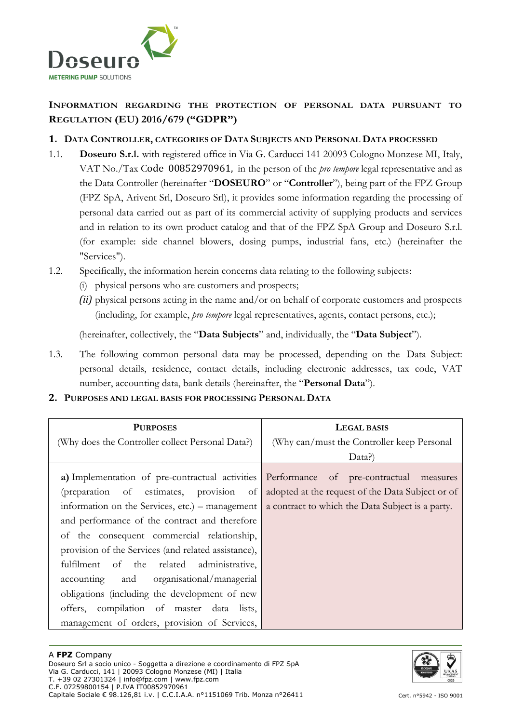

# **INFORMATION REGARDING THE PROTECTION OF PERSONAL DATA PURSUANT TO REGULATION (EU) 2016/679 ("GDPR")**

### **1. DATA CONTROLLER, CATEGORIES OF DATA SUBJECTS AND PERSONAL DATA PROCESSED**

- 1.1. **Doseuro S.r.l.** with registered office in Via G. Carducci 141 20093 Cologno Monzese MI, Italy, VAT No./Tax Code 00852970961, in the person of the *pro tempore* legal representative and as the Data Controller (hereinafter "**DOSEURO**" or "**Controller**"), being part of the FPZ Group (FPZ SpA, Arivent Srl, Doseuro Srl), it provides some information regarding the processing of personal data carried out as part of its commercial activity of supplying products and services and in relation to its own product catalog and that of the FPZ SpA Group and Doseuro S.r.l. (for example: side channel blowers, dosing pumps, industrial fans, etc.) (hereinafter the "Services").
- 1.2. Specifically, the information herein concerns data relating to the following subjects:
	- (i) physical persons who are customers and prospects;
	- *(ii)* physical persons acting in the name and/or on behalf of corporate customers and prospects (including, for example, *pro tempore* legal representatives, agents, contact persons, etc.);

(hereinafter, collectively, the "**Data Subjects**" and, individually, the "**Data Subject**").

1.3. The following common personal data may be processed, depending on the Data Subject: personal details, residence, contact details, including electronic addresses, tax code, VAT number, accounting data, bank details (hereinafter, the "**Personal Data**").

#### **2. PURPOSES AND LEGAL BASIS FOR PROCESSING PERSONAL DATA**

| <b>PURPOSES</b>                                                                                                                                                                                                                                                                                                                                                                                                                                                                          | <b>LEGAL BASIS</b>                                                                                   |  |  |
|------------------------------------------------------------------------------------------------------------------------------------------------------------------------------------------------------------------------------------------------------------------------------------------------------------------------------------------------------------------------------------------------------------------------------------------------------------------------------------------|------------------------------------------------------------------------------------------------------|--|--|
| (Why does the Controller collect Personal Data?)                                                                                                                                                                                                                                                                                                                                                                                                                                         | (Why can/must the Controller keep Personal                                                           |  |  |
|                                                                                                                                                                                                                                                                                                                                                                                                                                                                                          | Data?)                                                                                               |  |  |
| a) Implementation of pre-contractual activities Performance of pre-contractual measures<br>(preparation of estimates, provision<br>of<br>information on the Services, etc.) – management<br>and performance of the contract and therefore<br>of the consequent commercial relationship,<br>provision of the Services (and related assistance),<br>fulfilment of the related administrative,<br>accounting and organisational/managerial<br>obligations (including the development of new | adopted at the request of the Data Subject or of<br>a contract to which the Data Subject is a party. |  |  |
| offers, compilation of master data lists,                                                                                                                                                                                                                                                                                                                                                                                                                                                |                                                                                                      |  |  |
| management of orders, provision of Services,                                                                                                                                                                                                                                                                                                                                                                                                                                             |                                                                                                      |  |  |

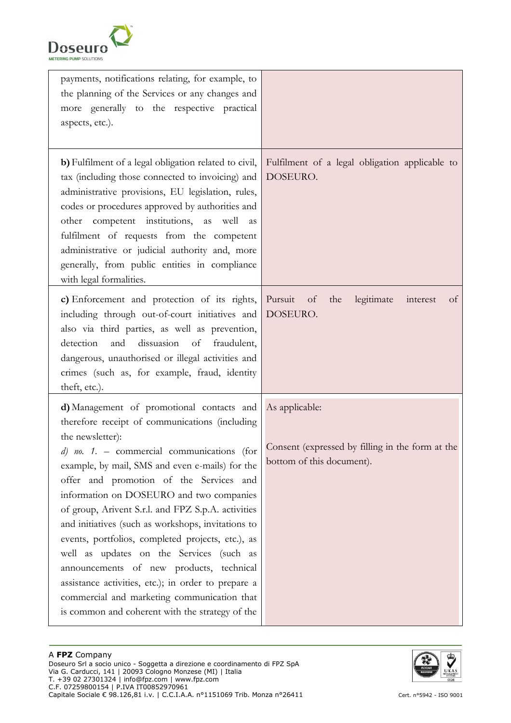

| payments, notifications relating, for example, to<br>the planning of the Services or any changes and<br>more generally to the respective practical<br>aspects, etc.).                                                                                                                                                                                                                                                                                                                                                                                                                                                                                                                                                       |                                                                                                 |
|-----------------------------------------------------------------------------------------------------------------------------------------------------------------------------------------------------------------------------------------------------------------------------------------------------------------------------------------------------------------------------------------------------------------------------------------------------------------------------------------------------------------------------------------------------------------------------------------------------------------------------------------------------------------------------------------------------------------------------|-------------------------------------------------------------------------------------------------|
| b) Fulfilment of a legal obligation related to civil,<br>tax (including those connected to invoicing) and<br>administrative provisions, EU legislation, rules,<br>codes or procedures approved by authorities and<br>other competent institutions,<br>as well<br>as<br>fulfilment of requests from the competent<br>administrative or judicial authority and, more<br>generally, from public entities in compliance<br>with legal formalities.                                                                                                                                                                                                                                                                              | Fulfilment of a legal obligation applicable to<br>DOSEURO.                                      |
| c) Enforcement and protection of its rights,<br>including through out-of-court initiatives and<br>also via third parties, as well as prevention,<br>dissuasion of<br>detection<br>and<br>fraudulent,<br>dangerous, unauthorised or illegal activities and<br>crimes (such as, for example, fraud, identity<br>theft, etc.).                                                                                                                                                                                                                                                                                                                                                                                                 | Pursuit<br>legitimate<br>of<br>the<br>interest<br>of<br>DOSEURO.                                |
| d) Management of promotional contacts and<br>therefore receipt of communications (including<br>the newsletter):<br>$d)$ no. 1. - commercial communications (for<br>example, by mail, SMS and even e-mails) for the<br>offer and promotion of the Services and<br>information on DOSEURO and two companies<br>of group, Arivent S.r.l. and FPZ S.p.A. activities<br>and initiatives (such as workshops, invitations to<br>events, portfolios, completed projects, etc.), as<br>well as updates on the Services (such as<br>announcements of new products, technical<br>assistance activities, etc.); in order to prepare a<br>commercial and marketing communication that<br>is common and coherent with the strategy of the | As applicable:<br>Consent (expressed by filling in the form at the<br>bottom of this document). |

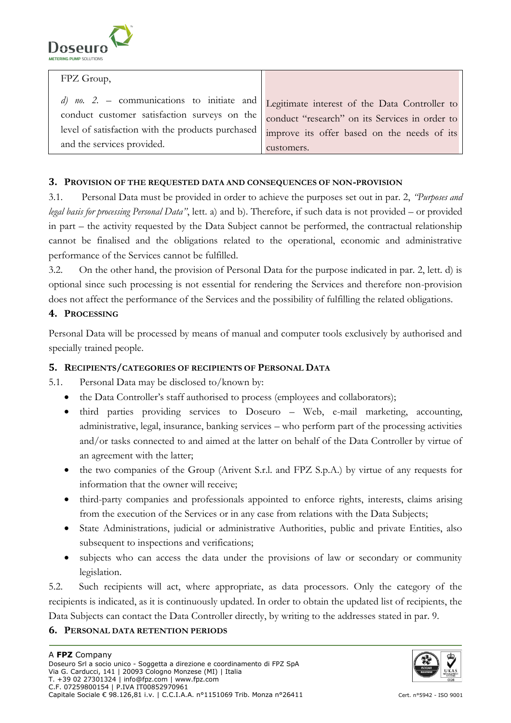

| FPZ Group,                                                                                                                                                                                                                                                                                                                       |            |
|----------------------------------------------------------------------------------------------------------------------------------------------------------------------------------------------------------------------------------------------------------------------------------------------------------------------------------|------------|
| d) no. 2. – communications to initiate and $\Big $ Legitimate interest of the Data Controller to<br>conduct customer satisfaction surveys on the conduct "research" on its Services in order to<br>level of satisfaction with the products purchased   improve its offer based on the needs of its<br>and the services provided. | customers. |

## **3. PROVISION OF THE REQUESTED DATA AND CONSEQUENCES OF NON-PROVISION**

3.1. Personal Data must be provided in order to achieve the purposes set out in par. 2, *"Purposes and legal basis for processing Personal Data"*, lett. a) and b). Therefore, if such data is not provided – or provided in part – the activity requested by the Data Subject cannot be performed, the contractual relationship cannot be finalised and the obligations related to the operational, economic and administrative performance of the Services cannot be fulfilled.

3.2. On the other hand, the provision of Personal Data for the purpose indicated in par. 2, lett. d) is optional since such processing is not essential for rendering the Services and therefore non-provision does not affect the performance of the Services and the possibility of fulfilling the related obligations.

#### **4. PROCESSING**

Personal Data will be processed by means of manual and computer tools exclusively by authorised and specially trained people.

#### **5. RECIPIENTS/CATEGORIES OF RECIPIENTS OF PERSONAL DATA**

5.1. Personal Data may be disclosed to/known by:

- the Data Controller's staff authorised to process (employees and collaborators);
- third parties providing services to Doseuro Web, e-mail marketing, accounting, administrative, legal, insurance, banking services – who perform part of the processing activities and/or tasks connected to and aimed at the latter on behalf of the Data Controller by virtue of an agreement with the latter;
- the two companies of the Group (Arivent S.r.l. and FPZ S.p.A.) by virtue of any requests for information that the owner will receive;
- third-party companies and professionals appointed to enforce rights, interests, claims arising from the execution of the Services or in any case from relations with the Data Subjects;
- State Administrations, judicial or administrative Authorities, public and private Entities, also subsequent to inspections and verifications;
- subjects who can access the data under the provisions of law or secondary or community legislation.

5.2. Such recipients will act, where appropriate, as data processors. Only the category of the recipients is indicated, as it is continuously updated. In order to obtain the updated list of recipients, the Data Subjects can contact the Data Controller directly, by writing to the addresses stated in par. 9.

# **6. PERSONAL DATA RETENTION PERIODS**

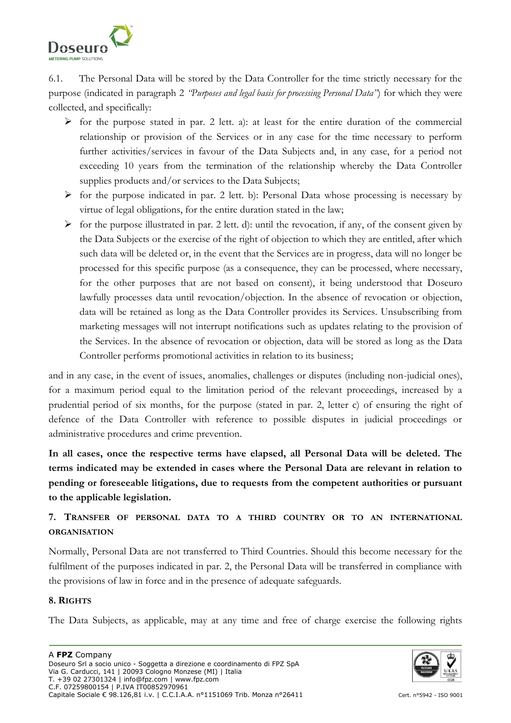

6.1. The Personal Data will be stored by the Data Controller for the time strictly necessary for the purpose (indicated in paragraph 2 *"Purposes and legal basis for processing Personal Data"*) for which they were collected, and specifically:

- $\triangleright$  for the purpose stated in par. 2 lett. a): at least for the entire duration of the commercial relationship or provision of the Services or in any case for the time necessary to perform further activities/services in favour of the Data Subjects and, in any case, for a period not exceeding 10 years from the termination of the relationship whereby the Data Controller supplies products and/or services to the Data Subjects;
- $\triangleright$  for the purpose indicated in par. 2 lett. b): Personal Data whose processing is necessary by virtue of legal obligations, for the entire duration stated in the law;
- $\triangleright$  for the purpose illustrated in par. 2 lett. d): until the revocation, if any, of the consent given by the Data Subjects or the exercise of the right of objection to which they are entitled, after which such data will be deleted or, in the event that the Services are in progress, data will no longer be processed for this specific purpose (as a consequence, they can be processed, where necessary, for the other purposes that are not based on consent), it being understood that Doseuro lawfully processes data until revocation/objection. In the absence of revocation or objection, data will be retained as long as the Data Controller provides its Services. Unsubscribing from marketing messages will not interrupt notifications such as updates relating to the provision of the Services. In the absence of revocation or objection, data will be stored as long as the Data Controller performs promotional activities in relation to its business;

and in any case, in the event of issues, anomalies, challenges or disputes (including non-judicial ones), for a maximum period equal to the limitation period of the relevant proceedings, increased by a prudential period of six months, for the purpose (stated in par. 2, letter c) of ensuring the right of defence of the Data Controller with reference to possible disputes in judicial proceedings or administrative procedures and crime prevention.

**In all cases, once the respective terms have elapsed, all Personal Data will be deleted. The terms indicated may be extended in cases where the Personal Data are relevant in relation to pending or foreseeable litigations, due to requests from the competent authorities or pursuant to the applicable legislation.** 

# **7. TRANSFER OF PERSONAL DATA TO A THIRD COUNTRY OR TO AN INTERNATIONAL ORGANISATION**

Normally, Personal Data are not transferred to Third Countries. Should this become necessary for the fulfilment of the purposes indicated in par. 2, the Personal Data will be transferred in compliance with the provisions of law in force and in the presence of adequate safeguards.

# **8. RIGHTS**

The Data Subjects, as applicable, may at any time and free of charge exercise the following rights

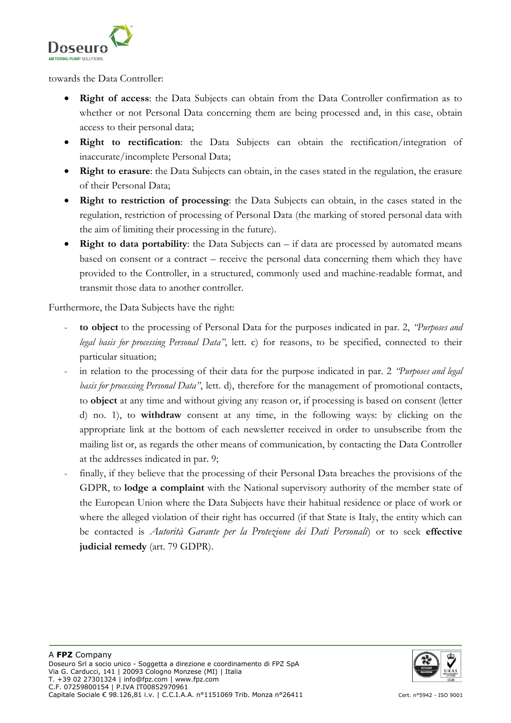

towards the Data Controller:

- **Right of access**: the Data Subjects can obtain from the Data Controller confirmation as to whether or not Personal Data concerning them are being processed and, in this case, obtain access to their personal data;
- **Right to rectification**: the Data Subjects can obtain the rectification/integration of inaccurate/incomplete Personal Data;
- **Right to erasure**: the Data Subjects can obtain, in the cases stated in the regulation, the erasure of their Personal Data;
- **Right to restriction of processing**: the Data Subjects can obtain, in the cases stated in the regulation, restriction of processing of Personal Data (the marking of stored personal data with the aim of limiting their processing in the future).
- **Right to data portability**: the Data Subjects can if data are processed by automated means based on consent or a contract – receive the personal data concerning them which they have provided to the Controller, in a structured, commonly used and machine-readable format, and transmit those data to another controller.

Furthermore, the Data Subjects have the right:

- **to object** to the processing of Personal Data for the purposes indicated in par. 2, *"Purposes and legal basis for processing Personal Data"*, lett. c) for reasons, to be specified, connected to their particular situation;
- in relation to the processing of their data for the purpose indicated in par. 2 *'Purposes and legal basis for processing Personal Data"*, lett. d), therefore for the management of promotional contacts, to **object** at any time and without giving any reason or, if processing is based on consent (letter d) no. 1), to **withdraw** consent at any time, in the following ways: by clicking on the appropriate link at the bottom of each newsletter received in order to unsubscribe from the mailing list or, as regards the other means of communication, by contacting the Data Controller at the addresses indicated in par. 9;
- finally, if they believe that the processing of their Personal Data breaches the provisions of the GDPR, to **lodge a complaint** with the National supervisory authority of the member state of the European Union where the Data Subjects have their habitual residence or place of work or where the alleged violation of their right has occurred (if that State is Italy, the entity which can be contacted is *Autorità Garante per la Protezione dei Dati Personali*) or to seek **effective judicial remedy** (art. 79 GDPR).